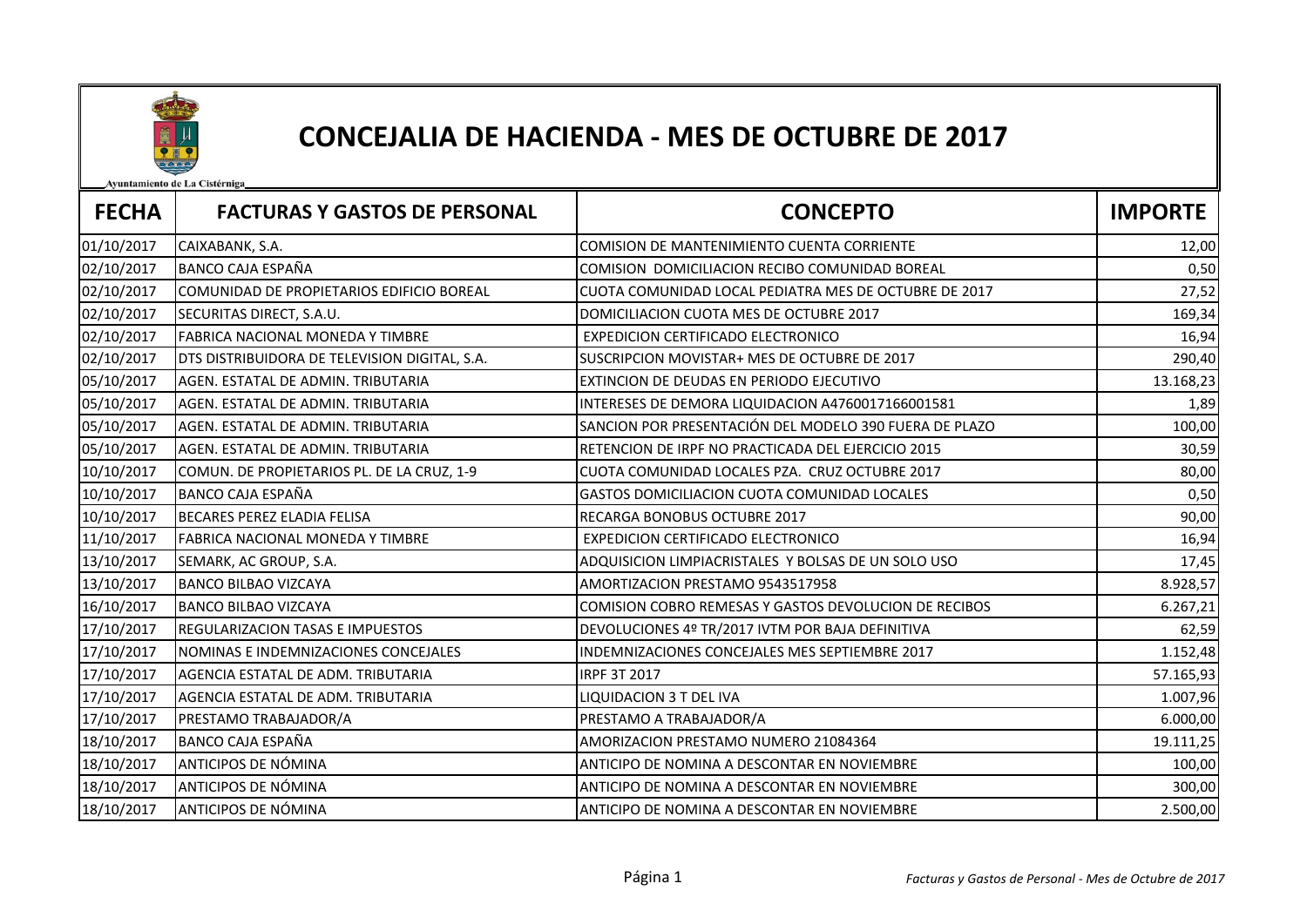

## CONCEJALIA DE HACIENDA - MES DE OCTUBRE DE 2017

Ayuntamiento de La Cistérniga

| <b>FECHA</b> | <b>FACTURAS Y GASTOS DE PERSONAL</b>          | <b>CONCEPTO</b>                                        | <b>IMPORTE</b> |
|--------------|-----------------------------------------------|--------------------------------------------------------|----------------|
| 01/10/2017   | CAIXABANK, S.A.                               | COMISION DE MANTENIMIENTO CUENTA CORRIENTE             | 12,00          |
| 02/10/2017   | <b>BANCO CAJA ESPAÑA</b>                      | COMISION DOMICILIACION RECIBO COMUNIDAD BOREAL         | 0,50           |
| 02/10/2017   | COMUNIDAD DE PROPIETARIOS EDIFICIO BOREAL     | CUOTA COMUNIDAD LOCAL PEDIATRA MES DE OCTUBRE DE 2017  | 27,52          |
| 02/10/2017   | SECURITAS DIRECT, S.A.U.                      | DOMICILIACION CUOTA MES DE OCTUBRE 2017                | 169,34         |
| 02/10/2017   | FABRICA NACIONAL MONEDA Y TIMBRE              | <b>EXPEDICION CERTIFICADO ELECTRONICO</b>              | 16,94          |
| 02/10/2017   | DTS DISTRIBUIDORA DE TELEVISION DIGITAL, S.A. | SUSCRIPCION MOVISTAR+ MES DE OCTUBRE DE 2017           | 290,40         |
| 05/10/2017   | AGEN. ESTATAL DE ADMIN. TRIBUTARIA            | EXTINCION DE DEUDAS EN PERIODO EJECUTIVO               | 13.168,23      |
| 05/10/2017   | AGEN. ESTATAL DE ADMIN. TRIBUTARIA            | INTERESES DE DEMORA LIQUIDACION A4760017166001581      | 1,89           |
| 05/10/2017   | AGEN. ESTATAL DE ADMIN. TRIBUTARIA            | SANCION POR PRESENTACIÓN DEL MODELO 390 FUERA DE PLAZO | 100,00         |
| 05/10/2017   | AGEN. ESTATAL DE ADMIN. TRIBUTARIA            | RETENCION DE IRPF NO PRACTICADA DEL EJERCICIO 2015     | 30,59          |
| 10/10/2017   | COMUN. DE PROPIETARIOS PL. DE LA CRUZ, 1-9    | CUOTA COMUNIDAD LOCALES PZA. CRUZ OCTUBRE 2017         | 80,00          |
| 10/10/2017   | <b>BANCO CAJA ESPAÑA</b>                      | GASTOS DOMICILIACION CUOTA COMUNIDAD LOCALES           | 0,50           |
| 10/10/2017   | <b>BECARES PEREZ ELADIA FELISA</b>            | RECARGA BONOBUS OCTUBRE 2017                           | 90,00          |
| 11/10/2017   | FABRICA NACIONAL MONEDA Y TIMBRE              | <b>EXPEDICION CERTIFICADO ELECTRONICO</b>              | 16,94          |
| 13/10/2017   | SEMARK, AC GROUP, S.A.                        | ADQUISICION LIMPIACRISTALES Y BOLSAS DE UN SOLO USO    | 17,45          |
| 13/10/2017   | <b>BANCO BILBAO VIZCAYA</b>                   | AMORTIZACION PRESTAMO 9543517958                       | 8.928,57       |
| 16/10/2017   | <b>BANCO BILBAO VIZCAYA</b>                   | COMISION COBRO REMESAS Y GASTOS DEVOLUCION DE RECIBOS  | 6.267,21       |
| 17/10/2017   | <b>REGULARIZACION TASAS E IMPUESTOS</b>       | DEVOLUCIONES 4º TR/2017 IVTM POR BAJA DEFINITIVA       | 62,59          |
| 17/10/2017   | NOMINAS E INDEMNIZACIONES CONCEJALES          | INDEMNIZACIONES CONCEJALES MES SEPTIEMBRE 2017         | 1.152,48       |
| 17/10/2017   | AGENCIA ESTATAL DE ADM. TRIBUTARIA            | IRPF 3T 2017                                           | 57.165,93      |
| 17/10/2017   | AGENCIA ESTATAL DE ADM. TRIBUTARIA            | LIQUIDACION 3 T DEL IVA                                | 1.007,96       |
| 17/10/2017   | PRESTAMO TRABAJADOR/A                         | PRESTAMO A TRABAJADOR/A                                | 6.000,00       |
| 18/10/2017   | BANCO CAJA ESPAÑA                             | AMORIZACION PRESTAMO NUMERO 21084364                   | 19.111,25      |
| 18/10/2017   | ANTICIPOS DE NÓMINA                           | ANTICIPO DE NOMINA A DESCONTAR EN NOVIEMBRE            | 100,00         |
| 18/10/2017   | ANTICIPOS DE NÓMINA                           | ANTICIPO DE NOMINA A DESCONTAR EN NOVIEMBRE            | 300,00         |
| 18/10/2017   | ANTICIPOS DE NÓMINA                           | ANTICIPO DE NOMINA A DESCONTAR EN NOVIEMBRE            | 2.500,00       |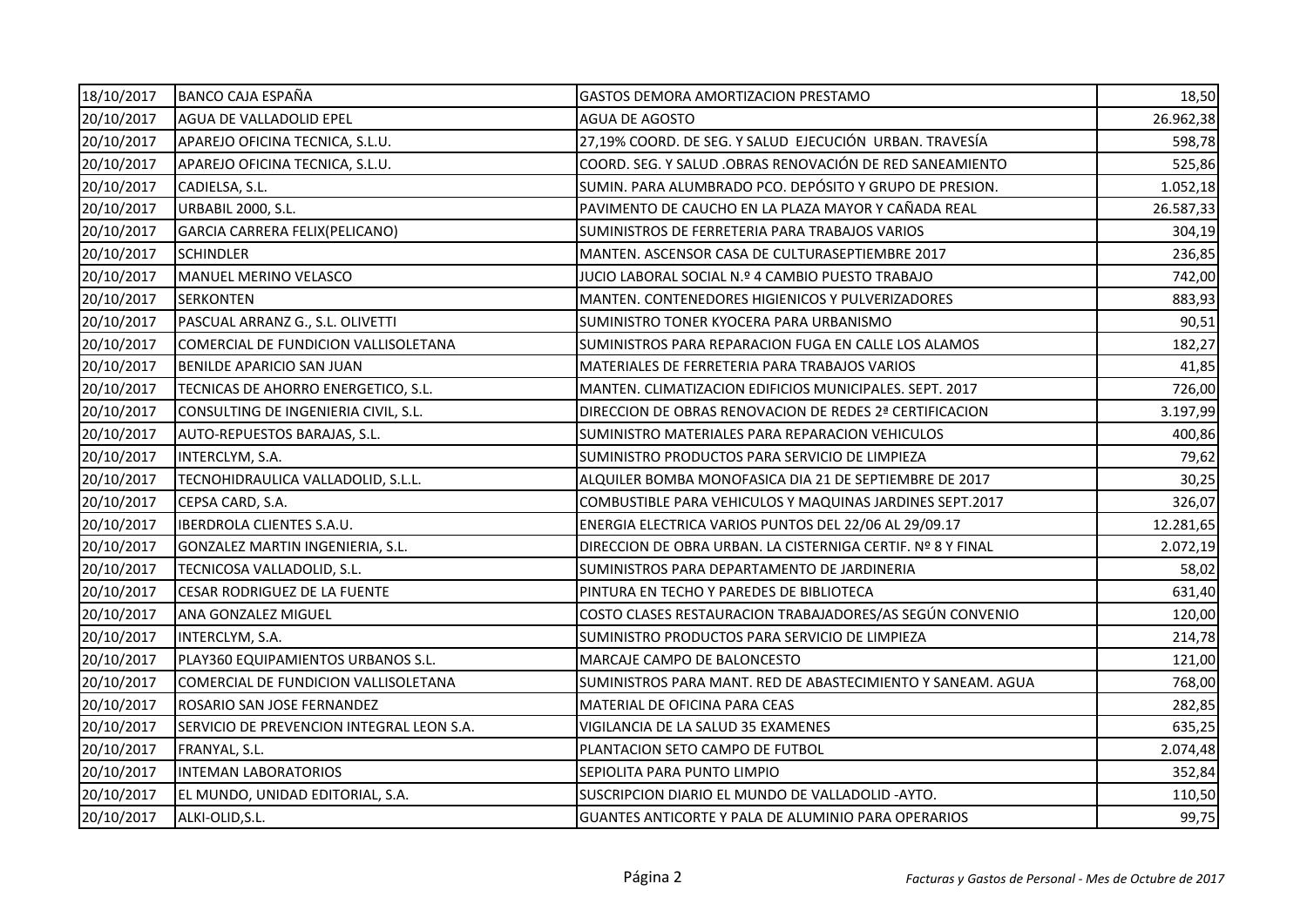| 18/10/2017 | <b>BANCO CAJA ESPAÑA</b>                  | <b>GASTOS DEMORA AMORTIZACION PRESTAMO</b>                  | 18,50     |
|------------|-------------------------------------------|-------------------------------------------------------------|-----------|
| 20/10/2017 | AGUA DE VALLADOLID EPEL                   | AGUA DE AGOSTO                                              | 26.962,38 |
| 20/10/2017 | APAREJO OFICINA TECNICA, S.L.U.           | 27,19% COORD. DE SEG. Y SALUD EJECUCIÓN URBAN. TRAVESÍA     | 598,78    |
| 20/10/2017 | APAREJO OFICINA TECNICA, S.L.U.           | COORD. SEG. Y SALUD .OBRAS RENOVACIÓN DE RED SANEAMIENTO    | 525,86    |
| 20/10/2017 | CADIELSA, S.L.                            | SUMIN. PARA ALUMBRADO PCO. DEPÓSITO Y GRUPO DE PRESION.     | 1.052,18  |
| 20/10/2017 | <b>URBABIL 2000, S.L.</b>                 | PAVIMENTO DE CAUCHO EN LA PLAZA MAYOR Y CAÑADA REAL         | 26.587,33 |
| 20/10/2017 | GARCIA CARRERA FELIX(PELICANO)            | SUMINISTROS DE FERRETERIA PARA TRABAJOS VARIOS              | 304,19    |
| 20/10/2017 | <b>SCHINDLER</b>                          | MANTEN. ASCENSOR CASA DE CULTURASEPTIEMBRE 2017             | 236,85    |
| 20/10/2017 | MANUEL MERINO VELASCO                     | JUCIO LABORAL SOCIAL N.º 4 CAMBIO PUESTO TRABAJO            | 742,00    |
| 20/10/2017 | <b>SERKONTEN</b>                          | MANTEN. CONTENEDORES HIGIENICOS Y PULVERIZADORES            | 883,93    |
| 20/10/2017 | PASCUAL ARRANZ G., S.L. OLIVETTI          | SUMINISTRO TONER KYOCERA PARA URBANISMO                     | 90,51     |
| 20/10/2017 | COMERCIAL DE FUNDICION VALLISOLETANA      | SUMINISTROS PARA REPARACION FUGA EN CALLE LOS ALAMOS        | 182,27    |
| 20/10/2017 | BENILDE APARICIO SAN JUAN                 | MATERIALES DE FERRETERIA PARA TRABAJOS VARIOS               | 41,85     |
| 20/10/2017 | TECNICAS DE AHORRO ENERGETICO, S.L.       | MANTEN. CLIMATIZACION EDIFICIOS MUNICIPALES. SEPT. 2017     | 726,00    |
| 20/10/2017 | CONSULTING DE INGENIERIA CIVIL, S.L.      | DIRECCION DE OBRAS RENOVACION DE REDES 2ª CERTIFICACION     | 3.197,99  |
| 20/10/2017 | AUTO-REPUESTOS BARAJAS, S.L.              | SUMINISTRO MATERIALES PARA REPARACION VEHICULOS             | 400,86    |
| 20/10/2017 | INTERCLYM, S.A.                           | SUMINISTRO PRODUCTOS PARA SERVICIO DE LIMPIEZA              | 79,62     |
| 20/10/2017 | TECNOHIDRAULICA VALLADOLID, S.L.L.        | ALQUILER BOMBA MONOFASICA DIA 21 DE SEPTIEMBRE DE 2017      | 30,25     |
| 20/10/2017 | CEPSA CARD, S.A.                          | COMBUSTIBLE PARA VEHICULOS Y MAQUINAS JARDINES SEPT.2017    | 326,07    |
| 20/10/2017 | <b>IBERDROLA CLIENTES S.A.U.</b>          | ENERGIA ELECTRICA VARIOS PUNTOS DEL 22/06 AL 29/09.17       | 12.281,65 |
| 20/10/2017 | GONZALEZ MARTIN INGENIERIA, S.L.          | DIRECCION DE OBRA URBAN. LA CISTERNIGA CERTIF. Nº 8 Y FINAL | 2.072,19  |
| 20/10/2017 | TECNICOSA VALLADOLID, S.L.                | SUMINISTROS PARA DEPARTAMENTO DE JARDINERIA                 | 58,02     |
| 20/10/2017 | CESAR RODRIGUEZ DE LA FUENTE              | PINTURA EN TECHO Y PAREDES DE BIBLIOTECA                    | 631,40    |
| 20/10/2017 | ANA GONZALEZ MIGUEL                       | COSTO CLASES RESTAURACION TRABAJADORES/AS SEGÚN CONVENIO    | 120,00    |
| 20/10/2017 | INTERCLYM, S.A.                           | SUMINISTRO PRODUCTOS PARA SERVICIO DE LIMPIEZA              | 214,78    |
| 20/10/2017 | PLAY360 EQUIPAMIENTOS URBANOS S.L.        | MARCAJE CAMPO DE BALONCESTO                                 | 121,00    |
| 20/10/2017 | COMERCIAL DE FUNDICION VALLISOLETANA      | SUMINISTROS PARA MANT. RED DE ABASTECIMIENTO Y SANEAM. AGUA | 768,00    |
| 20/10/2017 | ROSARIO SAN JOSE FERNANDEZ                | MATERIAL DE OFICINA PARA CEAS                               | 282,85    |
| 20/10/2017 | SERVICIO DE PREVENCION INTEGRAL LEON S.A. | VIGILANCIA DE LA SALUD 35 EXAMENES                          | 635,25    |
| 20/10/2017 | FRANYAL, S.L.                             | PLANTACION SETO CAMPO DE FUTBOL                             | 2.074,48  |
| 20/10/2017 | <b>INTEMAN LABORATORIOS</b>               | SEPIOLITA PARA PUNTO LIMPIO                                 | 352,84    |
| 20/10/2017 | EL MUNDO, UNIDAD EDITORIAL, S.A.          | SUSCRIPCION DIARIO EL MUNDO DE VALLADOLID - AYTO.           | 110,50    |
| 20/10/2017 | ALKI-OLID, S.L.                           | GUANTES ANTICORTE Y PALA DE ALUMINIO PARA OPERARIOS         | 99,75     |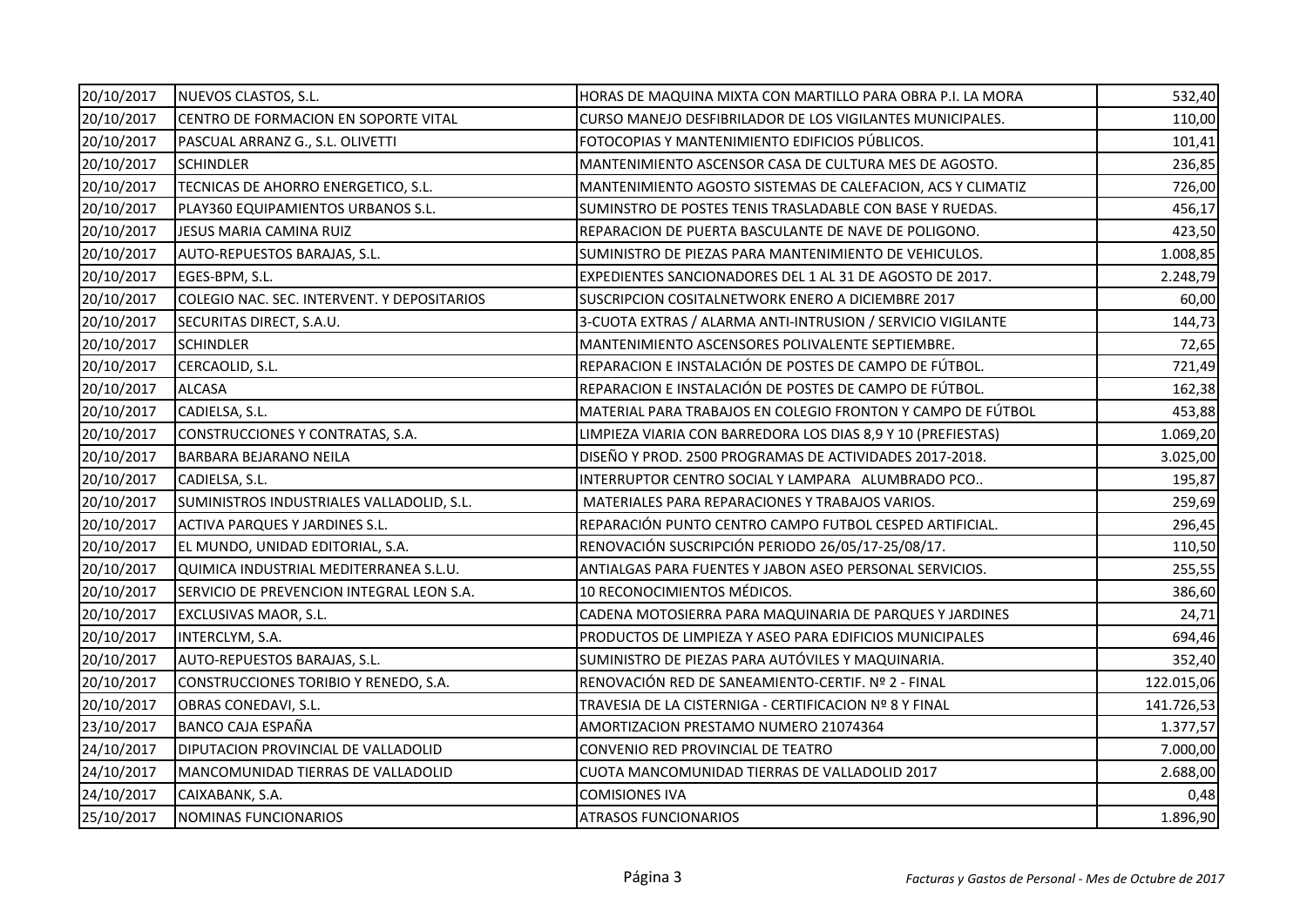| 20/10/2017 | NUEVOS CLASTOS, S.L.                        | HORAS DE MAQUINA MIXTA CON MARTILLO PARA OBRA P.I. LA MORA   | 532,40     |
|------------|---------------------------------------------|--------------------------------------------------------------|------------|
| 20/10/2017 | CENTRO DE FORMACION EN SOPORTE VITAL        | CURSO MANEJO DESFIBRILADOR DE LOS VIGILANTES MUNICIPALES.    | 110,00     |
| 20/10/2017 | PASCUAL ARRANZ G., S.L. OLIVETTI            | FOTOCOPIAS Y MANTENIMIENTO EDIFICIOS PÚBLICOS.               | 101,41     |
| 20/10/2017 | <b>SCHINDLER</b>                            | MANTENIMIENTO ASCENSOR CASA DE CULTURA MES DE AGOSTO.        | 236,85     |
| 20/10/2017 | TECNICAS DE AHORRO ENERGETICO, S.L.         | MANTENIMIENTO AGOSTO SISTEMAS DE CALEFACION, ACS Y CLIMATIZ  | 726,00     |
| 20/10/2017 | PLAY360 EQUIPAMIENTOS URBANOS S.L.          | SUMINSTRO DE POSTES TENIS TRASLADABLE CON BASE Y RUEDAS.     | 456,17     |
| 20/10/2017 | JESUS MARIA CAMINA RUIZ                     | REPARACION DE PUERTA BASCULANTE DE NAVE DE POLIGONO.         | 423,50     |
| 20/10/2017 | AUTO-REPUESTOS BARAJAS, S.L.                | SUMINISTRO DE PIEZAS PARA MANTENIMIENTO DE VEHICULOS.        | 1.008,85   |
| 20/10/2017 | EGES-BPM, S.L.                              | EXPEDIENTES SANCIONADORES DEL 1 AL 31 DE AGOSTO DE 2017.     | 2.248,79   |
| 20/10/2017 | COLEGIO NAC. SEC. INTERVENT. Y DEPOSITARIOS | SUSCRIPCION COSITALNETWORK ENERO A DICIEMBRE 2017            | 60,00      |
| 20/10/2017 | SECURITAS DIRECT, S.A.U.                    | 3-CUOTA EXTRAS / ALARMA ANTI-INTRUSION / SERVICIO VIGILANTE  | 144,73     |
| 20/10/2017 | <b>SCHINDLER</b>                            | MANTENIMIENTO ASCENSORES POLIVALENTE SEPTIEMBRE.             | 72,65      |
| 20/10/2017 | CERCAOLID, S.L.                             | REPARACION E INSTALACIÓN DE POSTES DE CAMPO DE FÚTBOL.       | 721,49     |
| 20/10/2017 | <b>ALCASA</b>                               | REPARACION E INSTALACIÓN DE POSTES DE CAMPO DE FÚTBOL.       | 162,38     |
| 20/10/2017 | CADIELSA, S.L.                              | MATERIAL PARA TRABAJOS EN COLEGIO FRONTON Y CAMPO DE FÚTBOL  | 453,88     |
| 20/10/2017 | CONSTRUCCIONES Y CONTRATAS, S.A.            | LIMPIEZA VIARIA CON BARREDORA LOS DIAS 8,9 Y 10 (PREFIESTAS) | 1.069,20   |
| 20/10/2017 | BARBARA BEJARANO NEILA                      | DISEÑO Y PROD. 2500 PROGRAMAS DE ACTIVIDADES 2017-2018.      | 3.025,00   |
| 20/10/2017 | CADIELSA, S.L.                              | INTERRUPTOR CENTRO SOCIAL Y LAMPARA ALUMBRADO PCO            | 195,87     |
| 20/10/2017 | SUMINISTROS INDUSTRIALES VALLADOLID, S.L.   | MATERIALES PARA REPARACIONES Y TRABAJOS VARIOS.              | 259,69     |
| 20/10/2017 | <b>ACTIVA PARQUES Y JARDINES S.L.</b>       | REPARACIÓN PUNTO CENTRO CAMPO FUTBOL CESPED ARTIFICIAL.      | 296,45     |
| 20/10/2017 | EL MUNDO, UNIDAD EDITORIAL, S.A.            | RENOVACIÓN SUSCRIPCIÓN PERIODO 26/05/17-25/08/17.            | 110,50     |
| 20/10/2017 | QUIMICA INDUSTRIAL MEDITERRANEA S.L.U.      | ANTIALGAS PARA FUENTES Y JABON ASEO PERSONAL SERVICIOS.      | 255,55     |
| 20/10/2017 | SERVICIO DE PREVENCION INTEGRAL LEON S.A.   | 10 RECONOCIMIENTOS MÉDICOS.                                  | 386,60     |
| 20/10/2017 | EXCLUSIVAS MAOR, S.L.                       | CADENA MOTOSIERRA PARA MAQUINARIA DE PARQUES Y JARDINES      | 24,71      |
| 20/10/2017 | INTERCLYM, S.A.                             | PRODUCTOS DE LIMPIEZA Y ASEO PARA EDIFICIOS MUNICIPALES      | 694,46     |
| 20/10/2017 | AUTO-REPUESTOS BARAJAS, S.L.                | SUMINISTRO DE PIEZAS PARA AUTÓVILES Y MAQUINARIA.            | 352,40     |
| 20/10/2017 | CONSTRUCCIONES TORIBIO Y RENEDO, S.A.       | RENOVACIÓN RED DE SANEAMIENTO-CERTIF. Nº 2 - FINAL           | 122.015,06 |
| 20/10/2017 | OBRAS CONEDAVI, S.L.                        | TRAVESIA DE LA CISTERNIGA - CERTIFICACION Nº 8 Y FINAL       | 141.726,53 |
| 23/10/2017 | <b>BANCO CAJA ESPAÑA</b>                    | AMORTIZACION PRESTAMO NUMERO 21074364                        | 1.377,57   |
| 24/10/2017 | DIPUTACION PROVINCIAL DE VALLADOLID         | CONVENIO RED PROVINCIAL DE TEATRO                            | 7.000,00   |
| 24/10/2017 | MANCOMUNIDAD TIERRAS DE VALLADOLID          | CUOTA MANCOMUNIDAD TIERRAS DE VALLADOLID 2017                | 2.688,00   |
| 24/10/2017 | CAIXABANK, S.A.                             | <b>COMISIONES IVA</b>                                        | 0,48       |
| 25/10/2017 | NOMINAS FUNCIONARIOS                        | <b>ATRASOS FUNCIONARIOS</b>                                  | 1.896,90   |